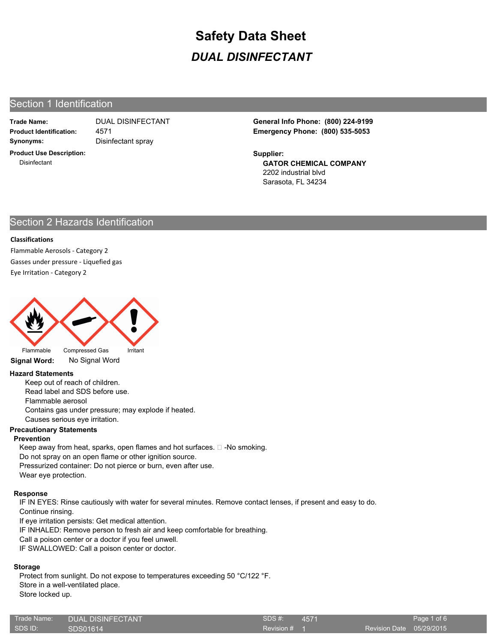## Section 1 Identification

**Trade Name: Synonyms:** Disinfectant spray

4571

**Product Use Description: Disinfectant** 

**Product Identification: Emergency Phone: (800) 535-5053** DUAL DISINFECTANT **General Info Phone: (800) 224-9199**

**Supplier:**

**GATOR CHEMICAL COMPANY** 2202 industrial blvd Sarasota, FL 34234

# Section 2 Hazards Identification

### **Classifications**

Flammable Aerosols - Category 2 Gasses under pressure - Liquefied gas Eye Irritation - Category 2



# **Signal Word:** No Signal Word

#### **Hazard Statements**

Keep out of reach of children. Read label and SDS before use. Flammable aerosol Contains gas under pressure; may explode if heated. Causes serious eye irritation.

### **Precautionary Statements**

### **Prevention**

Keep away from heat, sparks, open flames and hot surfaces.  $\Box$  -No smoking. Do not spray on an open flame or other ignition source. Pressurized container: Do not pierce or burn, even after use. Wear eye protection.

### **Response**

IF IN EYES: Rinse cautiously with water for several minutes. Remove contact lenses, if present and easy to do. Continue rinsing.

If eye irritation persists: Get medical attention.

IF INHALED: Remove person to fresh air and keep comfortable for breathing.

Call a poison center or a doctor if you feel unwell.

IF SWALLOWED: Call a poison center or doctor.

### **Storage**

Protect from sunlight. Do not expose to temperatures exceeding 50 °C/122 °F. Store in a well-ventilated place.

Store locked up.

| Trade Name: | <b>DUAL DISINFECTANT</b> | SDS#:   |
|-------------|--------------------------|---------|
| SDS ID:     | SDS01614                 | Revisio |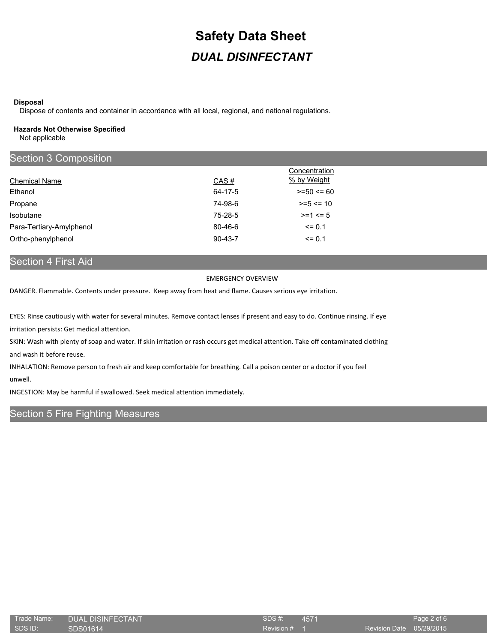#### **Disposal**

Dispose of contents and container in accordance with all local, regional, and national regulations.

#### **Hazards Not Otherwise Specified**

Not applicable

| Section 3 Composition    |               |                              |  |
|--------------------------|---------------|------------------------------|--|
|                          |               | Concentration<br>% by Weight |  |
| <b>Chemical Name</b>     | CAS#          |                              |  |
| Ethanol                  | 64-17-5       | $>= 50 \le 60$               |  |
| Propane                  | 74-98-6       | $>= 5 \le 10$                |  |
| Isobutane                | 75-28-5       | $>= 1 \le 5$                 |  |
| Para-Tertiary-Amylphenol | $80 - 46 - 6$ | $\leq$ 0.1                   |  |
| Ortho-phenylphenol       | $90 - 43 - 7$ | $\leq$ 0.1                   |  |

# Section 4 First Aid

#### EMERGENCY OVERVIEW

DANGER. Flammable. Contents under pressure. Keep away from heat and flame. Causes serious eye irritation.

EYES: Rinse cautiously with water for several minutes. Remove contact lenses if present and easy to do. Continue rinsing. If eye irritation persists: Get medical attention.

SKIN: Wash with plenty of soap and water. If skin irritation or rash occurs get medical attention. Take off contaminated clothing and wash it before reuse.

INHALATION: Remove person to fresh air and keep comfortable for breathing. Call a poison center or a doctor if you feel unwell.

INGESTION: May be harmful if swallowed. Seek medical attention immediately.

## Section 5 Fire Fighting Measures

| Trade Name: | <b>DUAL DISINFECTANT</b> | SDS#    |
|-------------|--------------------------|---------|
| SDS ID:     | SDS01614                 | Revisio |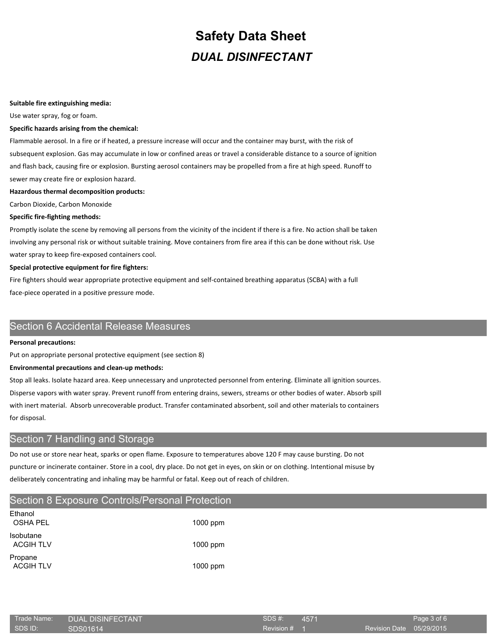#### **Suitable fire extinguishing media:**

Use water spray, fog or foam.

#### **Specific hazards arising from the chemical:**

Flammable aerosol. In a fire or if heated, a pressure increase will occur and the container may burst, with the risk of subsequent explosion. Gas may accumulate in low or confined areas or travel a considerable distance to a source of ignition and flash back, causing fire or explosion. Bursting aerosol containers may be propelled from a fire at high speed. Runoff to sewer may create fire or explosion hazard.

#### **Hazardous thermal decomposition products:**

Carbon Dioxide, Carbon Monoxide

#### **Specific fire-fighting methods:**

Promptly isolate the scene by removing all persons from the vicinity of the incident if there is a fire. No action shall be taken involving any personal risk or without suitable training. Move containers from fire area if this can be done without risk. Use water spray to keep fire-exposed containers cool.

#### **Special protective equipment for fire fighters:**

Fire fighters should wear appropriate protective equipment and self-contained breathing apparatus (SCBA) with a full face-piece operated in a positive pressure mode.

## Section 6 Accidental Release Measures

#### **Personal precautions:**

Put on appropriate personal protective equipment (see section 8)

#### **Environmental precautions and clean-up methods:**

Stop all leaks. Isolate hazard area. Keep unnecessary and unprotected personnel from entering. Eliminate all ignition sources. Disperse vapors with water spray. Prevent runoff from entering drains, sewers, streams or other bodies of water. Absorb spill with inert material. Absorb unrecoverable product. Transfer contaminated absorbent, soil and other materials to containers for disposal.

# Section 7 Handling and Storage

Do not use or store near heat, sparks or open flame. Exposure to temperatures above 120 F may cause bursting. Do not puncture or incinerate container. Store in a cool, dry place. Do not get in eyes, on skin or on clothing. Intentional misuse by deliberately concentrating and inhaling may be harmful or fatal. Keep out of reach of children.

| Section 8 Exposure Controls/Personal Protection |          |  |
|-------------------------------------------------|----------|--|
| Ethanol<br><b>OSHA PEL</b>                      | 1000 ppm |  |
| Isobutane<br><b>ACGIH TLV</b>                   | 1000 ppm |  |
| Propane<br><b>ACGIH TLV</b>                     | 1000 ppm |  |

| Trade Name: | <b>DUAL DISINFECTANT</b> | SDS#    |
|-------------|--------------------------|---------|
| SDS ID:     | SDS01614                 | Revisio |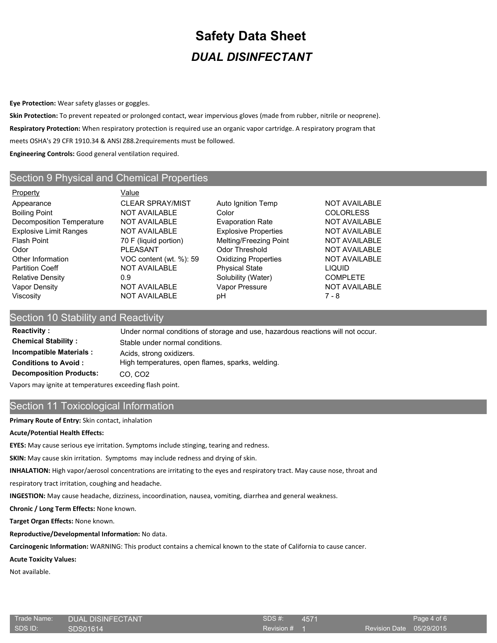**Eye Protection:** Wear safety glasses or goggles.

**Skin Protection:** To prevent repeated or prolonged contact, wear impervious gloves (made from rubber, nitrile or neoprene). **Respiratory Protection:** When respiratory protection is required use an organic vapor cartridge. A respiratory program that meets OSHA's 29 CFR 1910.34 & ANSI Z88.2requirements must be followed. **Engineering Controls:** Good general ventilation required.

## Section 9 Physical and Chemical Properties

Property **Value** Appearance **CLEAR SPRAY/MIST** Auto Ignition Temp NOT AVAILABLE Boiling Point **NOT AVAILABLE** Color Color COLORLESS Decomposition Temperature NOT AVAILABLE Evaporation Rate NOT AVAILABLE Explosive Limit Ranges NOT AVAILABLE Explosive Properties NOT AVAILABLE Flash Point **The Community Community 10 F (liquid portion)** Melting/Freezing Point MOT AVAILABLE Odor **PLEASANT** Odor Threshold NOT AVAILABLE Other Information VOC content (wt. %): 59 Oxidizing Properties NOT AVAILABLE Partition Coeff **NOT AVAILABLE** Physical State **Physical State** LIQUID Relative Density **COMPLETE** 0.9 Solubility (Water) COMPLETE Vapor Density **NOT AVAILABLE** Vapor Pressure NOT AVAILABLE Viscosity NOT AVAILABLE pH 7 - 8

## Section 10 Stability and Reactivity

**Reactivity :** Under normal conditions of storage and use, hazardous reactions will not occur. **Chemical Stability :** Stable under normal conditions. **Incompatible Materials :** Acids, strong oxidizers. **Conditions to Avoid :** High temperatures, open flames, sparks, welding. **Decomposition Products:** CO, CO2

Vapors may ignite at temperatures exceeding flash point.

## Section 11 Toxicological Information

**Primary Route of Entry:** Skin contact, inhalation

### **Acute/Potential Health Effects:**

**EYES:** May cause serious eye irritation. Symptoms include stinging, tearing and redness.

**SKIN:** May cause skin irritation. Symptoms may include redness and drying of skin.

**INHALATION:** High vapor/aerosol concentrations are irritating to the eyes and respiratory tract. May cause nose, throat and

respiratory tract irritation, coughing and headache.

**INGESTION:** May cause headache, dizziness, incoordination, nausea, vomiting, diarrhea and general weakness.

**Chronic / Long Term Effects:** None known.

**Target Organ Effects:** None known.

## **Reproductive/Developmental Information:** No data.

**Carcinogenic Information:** WARNING: This product contains a chemical known to the state of California to cause cancer.

## **Acute Toxicity Values:**

Not available.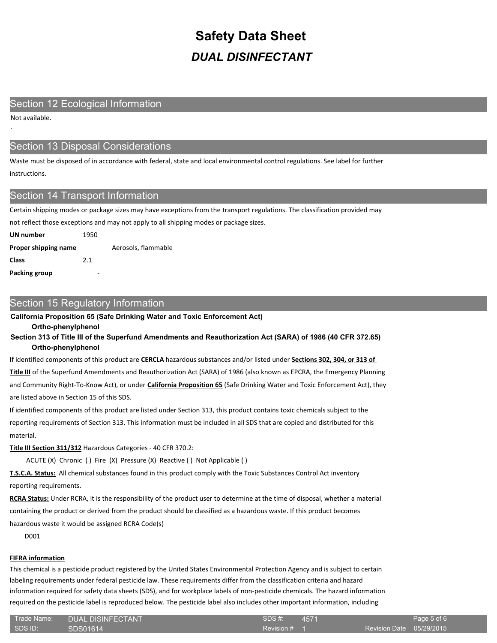## Section 12 Ecological Information

Not available.

.

# Section 13 Disposal Considerations

Waste must be disposed of in accordance with federal, state and local environmental control regulations. See label for further instructions.

## Section 14 Transport Information

Certain shipping modes or package sizes may have exceptions from the transport regulations. The classification provided may not reflect those exceptions and may not apply to all shipping modes or package sizes.

| UN number            | 1950 |                     |  |
|----------------------|------|---------------------|--|
| Proper shipping name |      | Aerosols, flammable |  |
| Class                | 2.1  |                     |  |
| Packing group        |      |                     |  |

## Section 15 Regulatory Information

#### **California Proposition 65 (Safe Drinking Water and Toxic Enforcement Act)**

**Ortho-phenylphenol**

**Section 313 of Title III of the Superfund Amendments and Reauthorization Act (SARA) of 1986 (40 CFR 372.65) Ortho-phenylphenol**

If identified components of this product are **CERCLA** hazardous substances and/or listed under **Sections 302, 304, or 313 of** 

**Title III** of the Superfund Amendments and Reauthorization Act (SARA) of 1986 (also known as EPCRA, the Emergency Planning and Community Right-To-Know Act), or under **California Proposition 65** (Safe Drinking Water and Toxic Enforcement Act), they are listed above in Section 15 of this SDS.

If identified components of this product are listed under Section 313, this product contains toxic chemicals subject to the reporting requirements of Section 313. This information must be included in all SDS that are copied and distributed for this material.

**Title III Section 311/312** Hazardous Categories - 40 CFR 370.2:

ACUTE (X) Chronic ( ) Fire (X) Pressure (X) Reactive ( ) Not Applicable ( )

**T.S.C.A. Status:** All chemical substances found in this product comply with the Toxic Substances Control Act inventory reporting requirements.

**RCRA Status:** Under RCRA, it is the responsibility of the product user to determine at the time of disposal, whether a material containing the product or derived from the product should be classified as a hazardous waste. If this product becomes hazardous waste it would be assigned RCRA Code(s)

D001

## **FIFRA information**

This chemical is a pesticide product registered by the United States Environmental Protection Agency and is subject to certain labeling requirements under federal pesticide law. These requirements differ from the classification criteria and hazard information required for safety data sheets (SDS), and for workplace labels of non-pesticide chemicals. The hazard information required on the pesticide label is reproduced below. The pesticide label also includes other important information, including